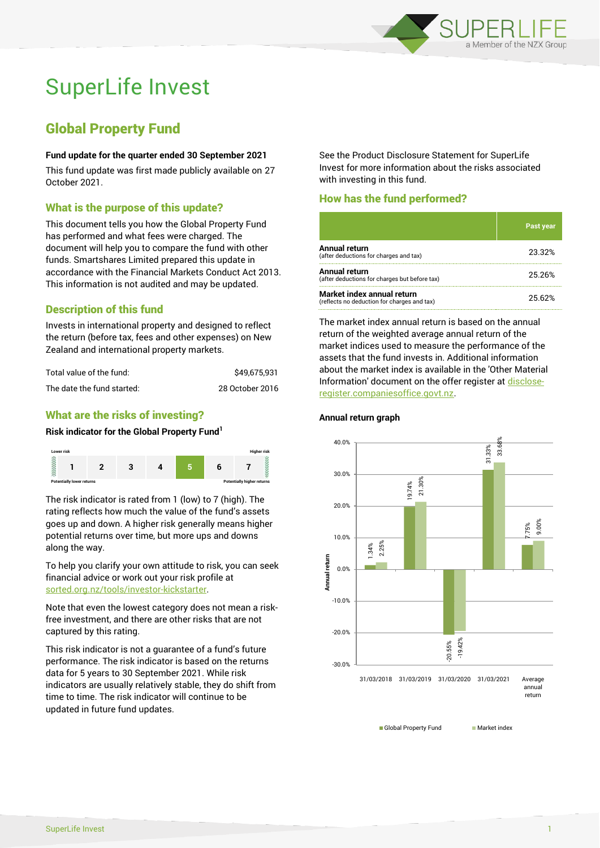

# SuperLife Invest

# Global Property Fund

#### **Fund update for the quarter ended 30 September 2021**

This fund update was first made publicly available on 27 October 2021.

# What is the purpose of this update?

This document tells you how the Global Property Fund has performed and what fees were charged. The document will help you to compare the fund with other funds. Smartshares Limited prepared this update in accordance with the Financial Markets Conduct Act 2013. This information is not audited and may be updated.

# Description of this fund

Invests in international property and designed to reflect the return (before tax, fees and other expenses) on New Zealand and international property markets.

| Total value of the fund:   | \$49.675.931    |
|----------------------------|-----------------|
| The date the fund started: | 28 October 2016 |

# What are the risks of investing?

#### **Risk indicator for the Global Property Fund<sup>1</sup>**



The risk indicator is rated from 1 (low) to 7 (high). The rating reflects how much the value of the fund's assets goes up and down. A higher risk generally means higher potential returns over time, but more ups and downs along the way.

To help you clarify your own attitude to risk, you can seek financial advice or work out your risk profile at [sorted.org.nz/tools/investor-kickstarter.](http://www.sorted.org.nz/tools/investor-kickstarter)

Note that even the lowest category does not mean a riskfree investment, and there are other risks that are not captured by this rating.

This risk indicator is not a guarantee of a fund's future performance. The risk indicator is based on the returns data for 5 years to 30 September 2021. While risk indicators are usually relatively stable, they do shift from time to time. The risk indicator will continue to be updated in future fund updates.

See the Product Disclosure Statement for SuperLife Invest for more information about the risks associated with investing in this fund.

# How has the fund performed?

|                                                                           | <b>Past year</b> |
|---------------------------------------------------------------------------|------------------|
| <b>Annual return</b><br>(after deductions for charges and tax)            | 23.32%           |
| Annual return<br>(after deductions for charges but before tax)            | 25.26%           |
| Market index annual return<br>(reflects no deduction for charges and tax) | 25.62%           |

The market index annual return is based on the annual return of the weighted average annual return of the market indices used to measure the performance of the assets that the fund invests in. Additional information about the market index is available in the 'Other Material Information' document on the offer register a[t disclose](http://www.disclose-register.companiesoffice.govt.nz/)[register.companiesoffice.govt.nz.](http://www.disclose-register.companiesoffice.govt.nz/)



**Annual return graph**

Global Property Fund Market index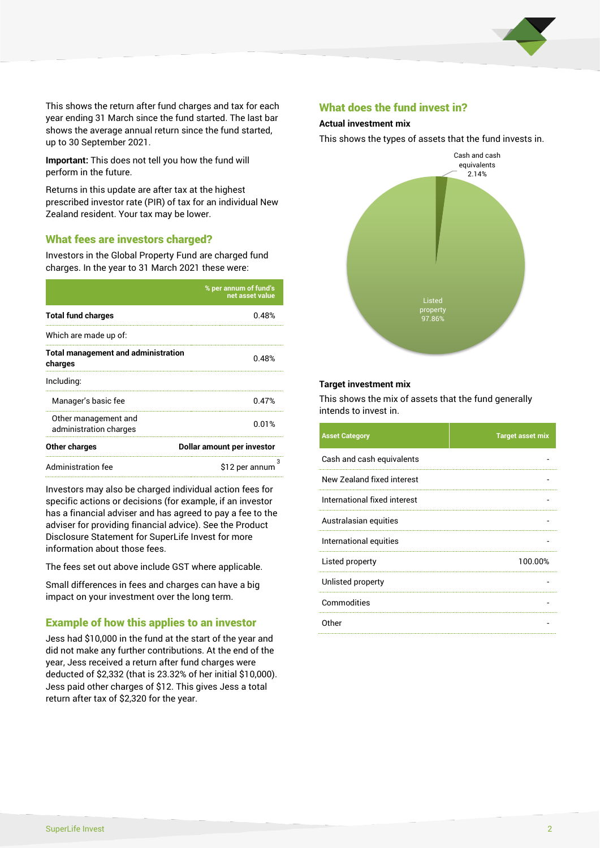

This shows the return after fund charges and tax for each year ending 31 March since the fund started. The last bar shows the average annual return since the fund started, up to 30 September 2021.

**Important:** This does not tell you how the fund will perform in the future.

Returns in this update are after tax at the highest prescribed investor rate (PIR) of tax for an individual New Zealand resident. Your tax may be lower.

# What fees are investors charged?

Investors in the Global Property Fund are charged fund charges. In the year to 31 March 2021 these were:

|                                                       | % per annum of fund's<br>net asset value |  |
|-------------------------------------------------------|------------------------------------------|--|
| <b>Total fund charges</b>                             | 0.48%                                    |  |
| Which are made up of:                                 |                                          |  |
| <b>Total management and administration</b><br>charges | 0.48%                                    |  |
| Including:                                            |                                          |  |
| Manager's basic fee                                   | 0.47%                                    |  |
| Other management and<br>administration charges        | 0.01%                                    |  |
| Other charges                                         | Dollar amount per investor               |  |
| Administration fee                                    | з<br>\$12 per annum                      |  |

Investors may also be charged individual action fees for specific actions or decisions (for example, if an investor has a financial adviser and has agreed to pay a fee to the adviser for providing financial advice). See the Product Disclosure Statement for SuperLife Invest for more information about those fees.

The fees set out above include GST where applicable.

Small differences in fees and charges can have a big impact on your investment over the long term.

# Example of how this applies to an investor

Jess had \$10,000 in the fund at the start of the year and did not make any further contributions. At the end of the year, Jess received a return after fund charges were deducted of \$2,332 (that is 23.32% of her initial \$10,000). Jess paid other charges of \$12. This gives Jess a total return after tax of \$2,320 for the year.

# What does the fund invest in?

#### **Actual investment mix**

This shows the types of assets that the fund invests in.



#### **Target investment mix**

This shows the mix of assets that the fund generally intends to invest in.

| <b>Asset Category</b>        | <b>Target asset mix</b> |
|------------------------------|-------------------------|
| Cash and cash equivalents    |                         |
| New Zealand fixed interest   |                         |
| International fixed interest |                         |
| Australasian equities        |                         |
| International equities       |                         |
| Listed property              | 100.00%                 |
| Unlisted property            |                         |
| Commodities                  |                         |
| Other                        |                         |